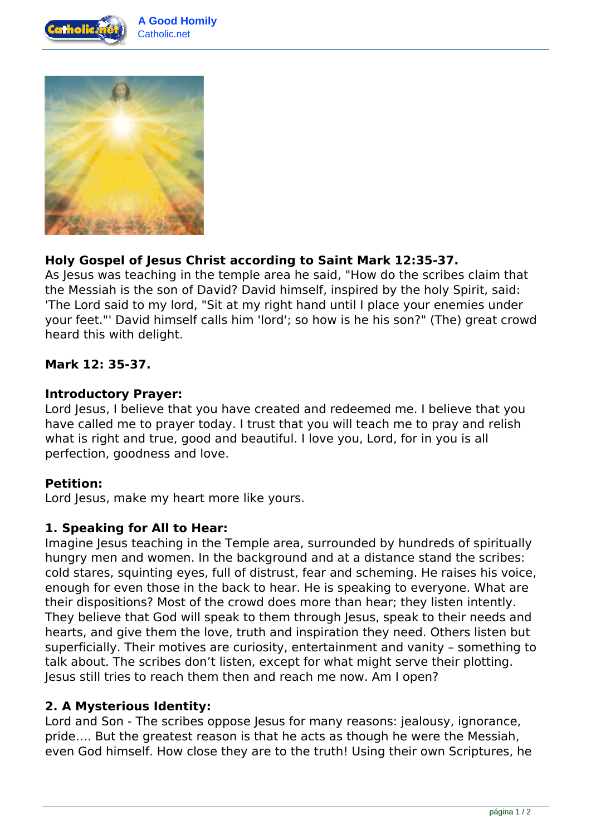



# **Holy Gospel of Jesus Christ according to Saint Mark 12:35-37.**

As Jesus was teaching in the temple area he said, "How do the scribes claim that the Messiah is the son of David? David himself, inspired by the holy Spirit, said: 'The Lord said to my lord, "Sit at my right hand until I place your enemies under your feet."' David himself calls him 'lord'; so how is he his son?" (The) great crowd heard this with delight.

### **Mark 12: 35-37.**

#### **Introductory Prayer:**

Lord Jesus, I believe that you have created and redeemed me. I believe that you have called me to prayer today. I trust that you will teach me to pray and relish what is right and true, good and beautiful. I love you, Lord, for in you is all perfection, goodness and love.

### **Petition:**

Lord Jesus, make my heart more like yours.

### **1. Speaking for All to Hear:**

Imagine Jesus teaching in the Temple area, surrounded by hundreds of spiritually hungry men and women. In the background and at a distance stand the scribes: cold stares, squinting eyes, full of distrust, fear and scheming. He raises his voice, enough for even those in the back to hear. He is speaking to everyone. What are their dispositions? Most of the crowd does more than hear; they listen intently. They believe that God will speak to them through Jesus, speak to their needs and hearts, and give them the love, truth and inspiration they need. Others listen but superficially. Their motives are curiosity, entertainment and vanity – something to talk about. The scribes don't listen, except for what might serve their plotting. Jesus still tries to reach them then and reach me now. Am I open?

### **2. A Mysterious Identity:**

Lord and Son - The scribes oppose Jesus for many reasons: jealousy, ignorance, pride…. But the greatest reason is that he acts as though he were the Messiah, even God himself. How close they are to the truth! Using their own Scriptures, he